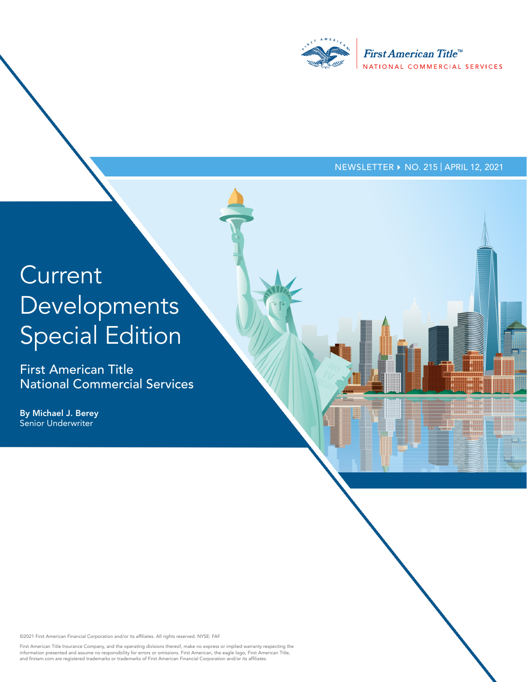

## NEWSLETTER ▶ NO. 215 | APRIL 12, 2021

## Current Developments Special Edition

First American Title National Commercial Services

By Michael J. Berey Senior Underwriter

©2021 First American Financial Corporation and/or its affiliates. All rights reserved. NYSE: FAF

First American Title Insurance Company, and the operating divisions thereof, make no express or implied warranty respecting the<br>information presented and assume no responsibility for errors or omissions. First American, th and firstam.com are registered trademarks or trademarks of First American Financial Corporation and/or its affiliates.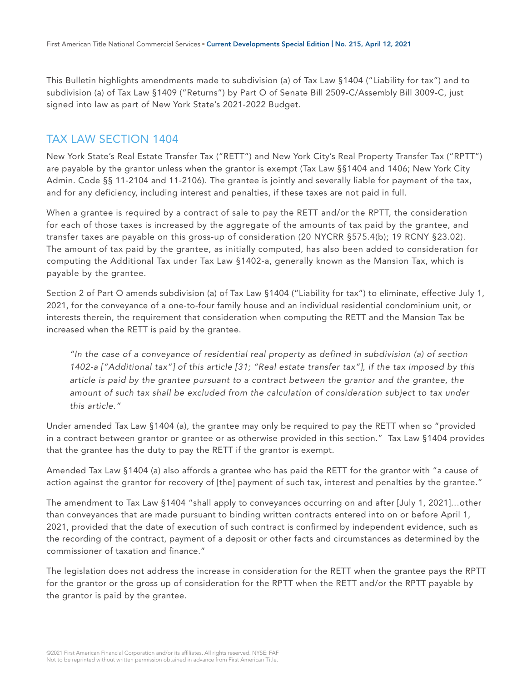This Bulletin highlights amendments made to subdivision (a) of Tax Law §1404 ("Liability for tax") and to subdivision (a) of Tax Law §1409 ("Returns") by Part O of Senate Bill 2509-C/Assembly Bill 3009-C, just signed into law as part of New York State's 2021-2022 Budget.

## TAX LAW SECTION 1404

New York State's Real Estate Transfer Tax ("RETT") and New York City's Real Property Transfer Tax ("RPTT") are payable by the grantor unless when the grantor is exempt (Tax Law §§1404 and 1406; New York City Admin. Code §§ 11-2104 and 11-2106). The grantee is jointly and severally liable for payment of the tax, and for any deficiency, including interest and penalties, if these taxes are not paid in full.

When a grantee is required by a contract of sale to pay the RETT and/or the RPTT, the consideration for each of those taxes is increased by the aggregate of the amounts of tax paid by the grantee, and transfer taxes are payable on this gross-up of consideration (20 NYCRR §575.4(b); 19 RCNY §23.02). The amount of tax paid by the grantee, as initially computed, has also been added to consideration for computing the Additional Tax under Tax Law §1402-a, generally known as the Mansion Tax, which is payable by the grantee.

Section 2 of Part O amends subdivision (a) of Tax Law §1404 ("Liability for tax") to eliminate, effective July 1, 2021, for the conveyance of a one-to-four family house and an individual residential condominium unit, or interests therein, the requirement that consideration when computing the RETT and the Mansion Tax be increased when the RETT is paid by the grantee.

*"In the case of a conveyance of residential real property as defined in subdivision (a) of section 1402-a ["Additional tax"] of this article [31; "Real estate transfer tax"], if the tax imposed by this article is paid by the grantee pursuant to a contract between the grantor and the grantee, the*  amount of such tax shall be excluded from the calculation of consideration subject to tax under *this article."*

Under amended Tax Law §1404 (a), the grantee may only be required to pay the RETT when so "provided in a contract between grantor or grantee or as otherwise provided in this section." Tax Law §1404 provides that the grantee has the duty to pay the RETT if the grantor is exempt.

Amended Tax Law §1404 (a) also affords a grantee who has paid the RETT for the grantor with "a cause of action against the grantor for recovery of [the] payment of such tax, interest and penalties by the grantee."

The amendment to Tax Law §1404 "shall apply to conveyances occurring on and after [July 1, 2021]…other than conveyances that are made pursuant to binding written contracts entered into on or before April 1, 2021, provided that the date of execution of such contract is confirmed by independent evidence, such as the recording of the contract, payment of a deposit or other facts and circumstances as determined by the commissioner of taxation and finance."

The legislation does not address the increase in consideration for the RETT when the grantee pays the RPTT for the grantor or the gross up of consideration for the RPTT when the RETT and/or the RPTT payable by the grantor is paid by the grantee.